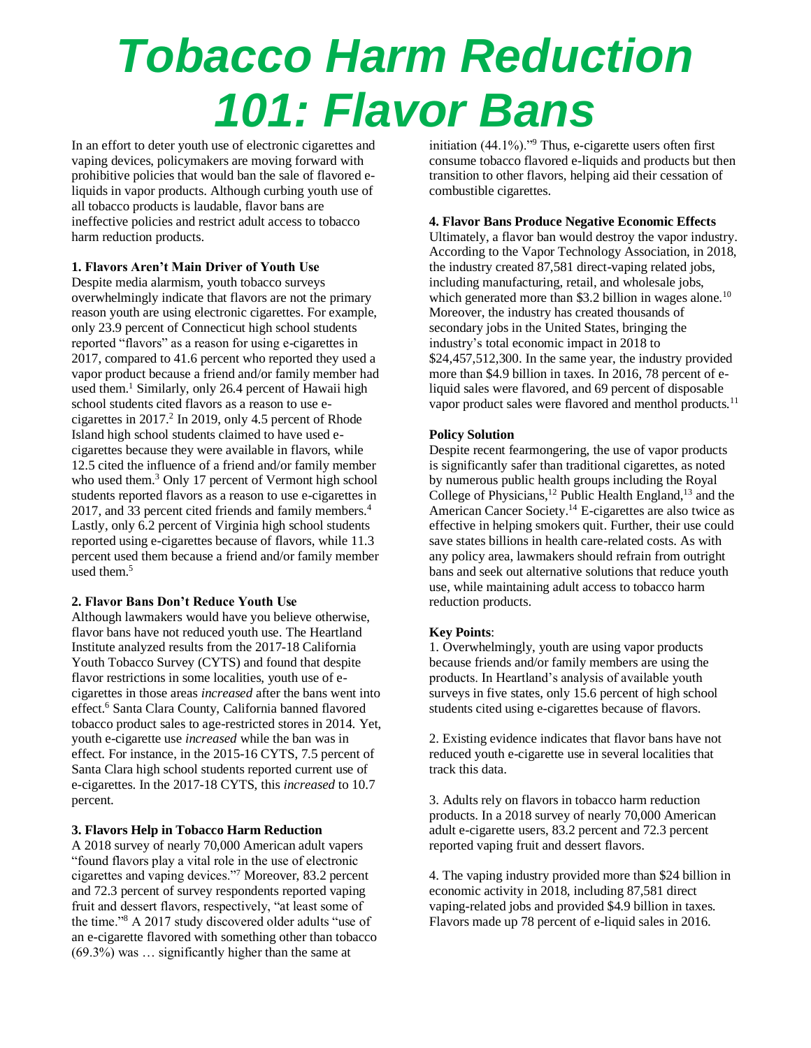# *Tobacco Harm Reduction 101: Flavor Bans*

In an effort to deter youth use of electronic cigarettes and vaping devices, policymakers are moving forward with prohibitive policies that would ban the sale of flavored eliquids in vapor products. Although curbing youth use of all tobacco products is laudable, flavor bans are ineffective policies and restrict adult access to tobacco harm reduction products.

## **1. Flavors Aren't Main Driver of Youth Use**

Despite media alarmism, youth tobacco surveys overwhelmingly indicate that flavors are not the primary reason youth are using electronic cigarettes. For example, only 23.9 percent of Connecticut high school students reported "flavors" as a reason for using e-cigarettes in 2017, compared to 41.6 percent who reported they used a vapor product because a friend and/or family member had used them.<sup>1</sup> Similarly, only 26.4 percent of Hawaii high school students cited flavors as a reason to use ecigarettes in  $2017<sup>2</sup>$  In 2019, only 4.5 percent of Rhode Island high school students claimed to have used ecigarettes because they were available in flavors, while 12.5 cited the influence of a friend and/or family member who used them.<sup>3</sup> Only 17 percent of Vermont high school students reported flavors as a reason to use e-cigarettes in 2017, and 33 percent cited friends and family members.<sup>4</sup> Lastly, only 6.2 percent of Virginia high school students reported using e-cigarettes because of flavors, while 11.3 percent used them because a friend and/or family member used them $<sup>5</sup>$ </sup>

#### **2. Flavor Bans Don't Reduce Youth Use**

Although lawmakers would have you believe otherwise, flavor bans have not reduced youth use. The Heartland Institute analyzed results from the 2017-18 California Youth Tobacco Survey (CYTS) and found that despite flavor restrictions in some localities, youth use of ecigarettes in those areas *increased* after the bans went into effect. <sup>6</sup> Santa Clara County, California banned flavored tobacco product sales to age-restricted stores in 2014. Yet, youth e-cigarette use *increased* while the ban was in effect. For instance, in the 2015-16 CYTS, 7.5 percent of Santa Clara high school students reported current use of e-cigarettes. In the 2017-18 CYTS, this *increased* to 10.7 percent.

# **3. Flavors Help in Tobacco Harm Reduction**

A 2018 survey of nearly 70,000 American adult vapers "found flavors play a vital role in the use of electronic cigarettes and vaping devices."<sup>7</sup> Moreover, 83.2 percent and 72.3 percent of survey respondents reported vaping fruit and dessert flavors, respectively, "at least some of the time."<sup>8</sup> A 2017 study discovered older adults "use of an e-cigarette flavored with something other than tobacco (69.3%) was … significantly higher than the same at

initiation (44.1%)."<sup>9</sup> Thus, e-cigarette users often first consume tobacco flavored e-liquids and products but then transition to other flavors, helping aid their cessation of combustible cigarettes.

#### **4. Flavor Bans Produce Negative Economic Effects**

Ultimately, a flavor ban would destroy the vapor industry. According to the Vapor Technology Association, in 2018, the industry created 87,581 direct-vaping related jobs, including manufacturing, retail, and wholesale jobs, which generated more than \$3.2 billion in wages alone.<sup>10</sup> Moreover, the industry has created thousands of secondary jobs in the United States, bringing the industry's total economic impact in 2018 to \$24,457,512,300. In the same year, the industry provided more than \$4.9 billion in taxes. In 2016, 78 percent of eliquid sales were flavored, and 69 percent of disposable vapor product sales were flavored and menthol products.<sup>11</sup>

### **Policy Solution**

Despite recent fearmongering, the use of vapor products is significantly safer than traditional cigarettes, as noted by numerous public health groups including the Royal College of Physicians,<sup>12</sup> Public Health England,<sup>13</sup> and the American Cancer Society. <sup>14</sup> E-cigarettes are also twice as effective in helping smokers quit. Further, their use could save states billions in health care-related costs. As with any policy area, lawmakers should refrain from outright bans and seek out alternative solutions that reduce youth use, while maintaining adult access to tobacco harm reduction products.

#### **Key Points**:

1. Overwhelmingly, youth are using vapor products because friends and/or family members are using the products. In Heartland's analysis of available youth surveys in five states, only 15.6 percent of high school students cited using e-cigarettes because of flavors.

2. Existing evidence indicates that flavor bans have not reduced youth e-cigarette use in several localities that track this data.

3. Adults rely on flavors in tobacco harm reduction products. In a 2018 survey of nearly 70,000 American adult e-cigarette users, 83.2 percent and 72.3 percent reported vaping fruit and dessert flavors.

4. The vaping industry provided more than \$24 billion in economic activity in 2018, including 87,581 direct vaping-related jobs and provided \$4.9 billion in taxes. Flavors made up 78 percent of e-liquid sales in 2016.